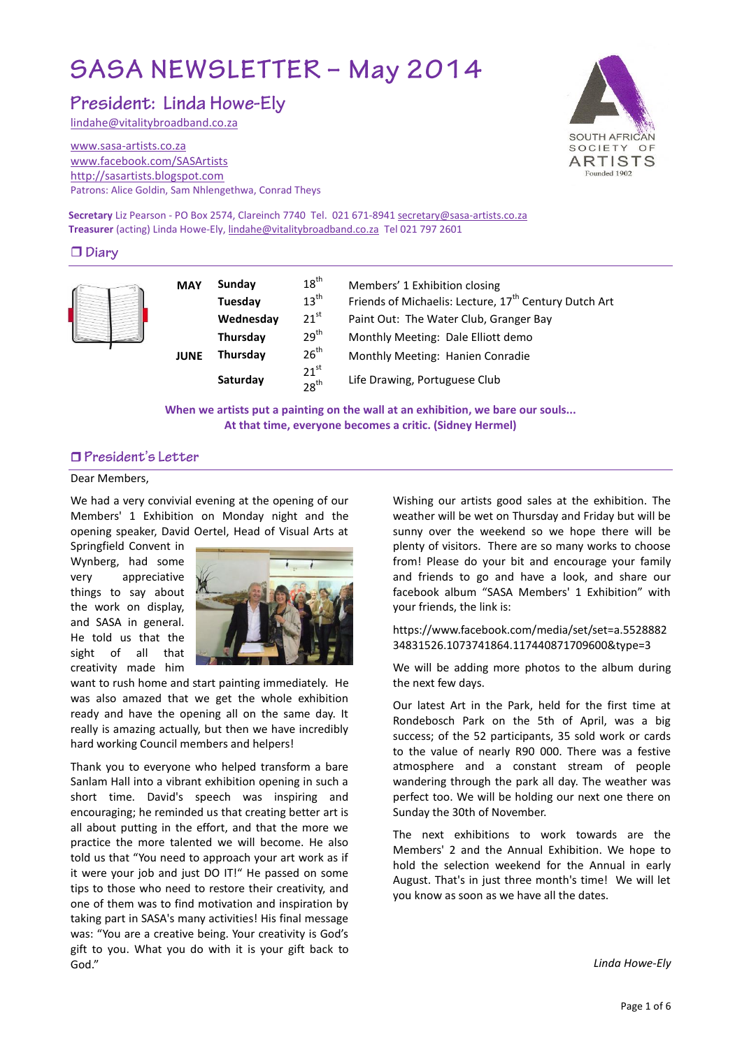# SASA NEWSLETTER - May 2014

President: Linda Howe-Ely

[lindahe@vitalitybroadband.co.za](mailto:lindahe@vitalitybroadband.co.za)

#### [www.sasa-artists.co.za](http://www.sasa-artists.co.za/) [www.facebook.com/SASArtists](http://www.facebook.com/SASArtists) [http://sasartists.blogspot.com](http://sasartists.blogspot.com/) Patrons: Alice Goldin, Sam Nhlengethwa, Conrad Theys



**Secretary** Liz Pearson - PO Box 2574, Clareinch 7740 Tel. 021 671-894[1 secretary@sasa-artists.co.za](mailto:secretary@sasa-artists.co.za) **Treasurer** (acting) Linda Howe-Ely[, lindahe@vitalitybroadband.co.za](mailto:lindahe@vitalitybroadband.co.za) Tel 021 797 2601

## $\Box$  Diary

| <b>MAY</b> | Sunday    | $18^{th}$                            | Members' 1 Exhibition closing                                     |  |
|------------|-----------|--------------------------------------|-------------------------------------------------------------------|--|
|            | Tuesday   | $13^{\text{th}}$                     | Friends of Michaelis: Lecture, 17 <sup>th</sup> Century Dutch Art |  |
|            | Wednesday | $21^{st}$                            | Paint Out: The Water Club, Granger Bay                            |  |
|            | Thursday  | 29 <sup>th</sup>                     | Monthly Meeting: Dale Elliott demo                                |  |
| JUNE       | Thursday  | $26^{th}$                            | Monthly Meeting: Hanien Conradie                                  |  |
|            | Saturday  | 21 <sup>st</sup><br>28 <sup>th</sup> | Life Drawing, Portuguese Club                                     |  |

**When we artists put a painting on the wall at an exhibition, we bare our souls... At that time, everyone becomes a critic. (Sidney Hermel)**

# □ President's Letter

#### Dear Members,

We had a very convivial evening at the opening of our Members' 1 Exhibition on Monday night and the opening speaker, David Oertel, Head of Visual Arts at

Springfield Convent in Wynberg, had some very appreciative things to say about the work on display, and SASA in general. He told us that the sight of all that creativity made him



want to rush home and start painting immediately. He was also amazed that we get the whole exhibition ready and have the opening all on the same day. It really is amazing actually, but then we have incredibly hard working Council members and helpers!

Thank you to everyone who helped transform a bare Sanlam Hall into a vibrant exhibition opening in such a short time. David's speech was inspiring and encouraging; he reminded us that creating better art is all about putting in the effort, and that the more we practice the more talented we will become. He also told us that "You need to approach your art work as if it were your job and just DO IT!" He passed on some tips to those who need to restore their creativity, and one of them was to find motivation and inspiration by taking part in SASA's many activities! His final message was: "You are a creative being. Your creativity is God's gift to you. What you do with it is your gift back to God."

Wishing our artists good sales at the exhibition. The weather will be wet on Thursday and Friday but will be sunny over the weekend so we hope there will be plenty of visitors. There are so many works to choose from! Please do your bit and encourage your family and friends to go and have a look, and share our facebook album "SASA Members' 1 Exhibition" with your friends, the link is:

#### https://www.facebook.com/media/set/set=a.5528882 34831526.1073741864.117440871709600&type=3

We will be adding more photos to the album during the next few days.

Our latest Art in the Park, held for the first time at Rondebosch Park on the 5th of April, was a big success; of the 52 participants, 35 sold work or cards to the value of nearly R90 000. There was a festive atmosphere and a constant stream of people wandering through the park all day. The weather was perfect too. We will be holding our next one there on Sunday the 30th of November.

The next exhibitions to work towards are the Members' 2 and the Annual Exhibition. We hope to hold the selection weekend for the Annual in early August. That's in just three month's time! We will let you know as soon as we have all the dates.

*Linda Howe-Ely*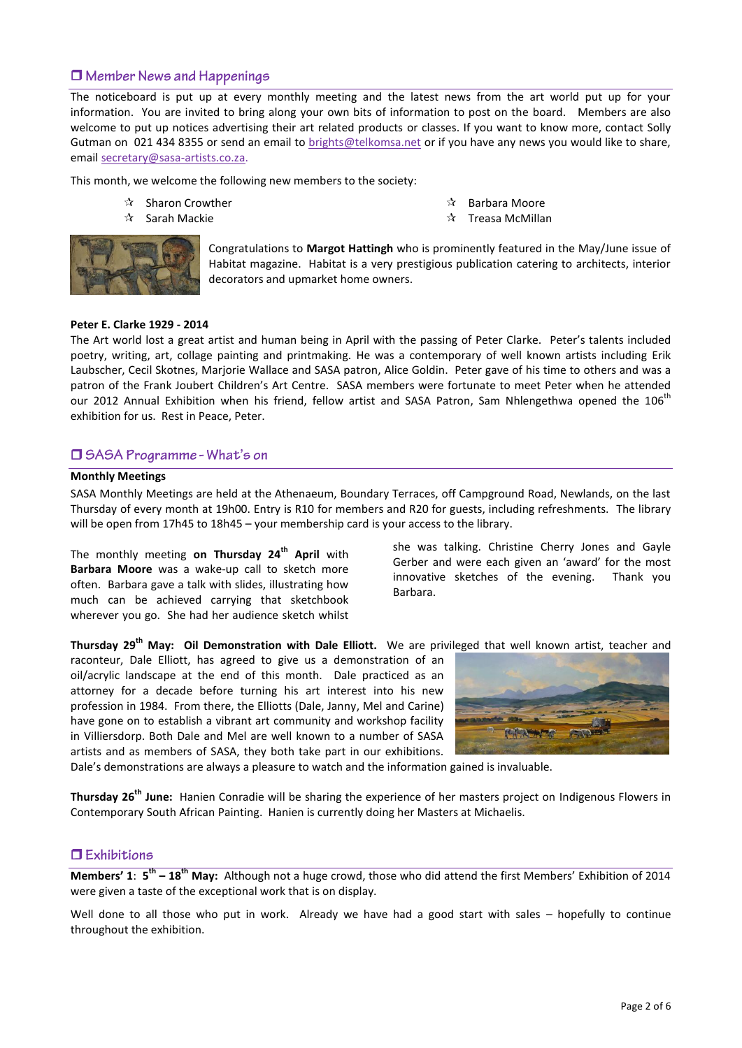# $\Box$  Member News and Happenings

The noticeboard is put up at every monthly meeting and the latest news from the art world put up for your information. You are invited to bring along your own bits of information to post on the board. Members are also welcome to put up notices advertising their art related products or classes. If you want to know more, contact Solly Gutman on 021 434 8355 or send an email to [brights@telkomsa.net](mailto:brights@telkomsa.net) or if you have any news you would like to share, email [secretary@sasa-artists.co.za.](mailto:secretary@sasa-artists.co.za)

This month, we welcome the following new members to the society:

- $\mathbf{\hat{x}}$  Sharon Crowther
- $\mathbf{\hat{x}}$  Sarah Mackie



Congratulations to **Margot Hattingh** who is prominently featured in the May/June issue of Habitat magazine. Habitat is a very prestigious publication catering to architects, interior decorators and upmarket home owners.

#### **Peter E. Clarke 1929 - 2014**

The Art world lost a great artist and human being in April with the passing of Peter Clarke. Peter's talents included poetry, writing, art, collage painting and printmaking. He was a contemporary of well known artists including Erik Laubscher, Cecil Skotnes, Marjorie Wallace and SASA patron, Alice Goldin. Peter gave of his time to others and was a patron of the Frank Joubert Children's Art Centre. SASA members were fortunate to meet Peter when he attended our 2012 Annual Exhibition when his friend, fellow artist and SASA Patron, Sam Nhlengethwa opened the 106<sup>th</sup> exhibition for us. Rest in Peace, Peter.

#### □ SASA Programme - What's on

#### **Monthly Meetings**

SASA Monthly Meetings are held at the Athenaeum, Boundary Terraces, off Campground Road, Newlands, on the last Thursday of every month at 19h00. Entry is R10 for members and R20 for guests, including refreshments. The library will be open from 17h45 to 18h45 – your membership card is your access to the library.

The monthly meeting **on Thursday 24th April** with **Barbara Moore** was a wake-up call to sketch more often.Barbara gave a talk with slides, illustrating how much can be achieved carrying that sketchbook wherever you go. She had her audience sketch whilst

she was talking. Christine Cherry Jones and Gayle Gerber and were each given an 'award' for the most innovative sketches of the evening. Thank you Barbara.

**Thursday 29th May: Oil Demonstration with Dale Elliott.** We are privileged that well known artist, teacher and

raconteur, Dale Elliott, has agreed to give us a demonstration of an oil/acrylic landscape at the end of this month. Dale practiced as an attorney for a decade before turning his art interest into his new profession in 1984. From there, the Elliotts (Dale, Janny, Mel and Carine) have gone on to establish a vibrant art community and workshop facility in Villiersdorp. Both Dale and Mel are well known to a number of SASA artists and as members of SASA, they both take part in our exhibitions.



Dale's demonstrations are always a pleasure to watch and the information gained is invaluable.

**Thursday 26th June:** Hanien Conradie will be sharing the experience of her masters project on Indigenous Flowers in Contemporary South African Painting. Hanien is currently doing her Masters at Michaelis.

#### $\Box$  Exhibitions

**Members' 1:**  $5^{\text{th}}$  **– 18<sup>th</sup> May:** Although not a huge crowd, those who did attend the first Members' Exhibition of 2014 were given a taste of the exceptional work that is on display.

Well done to all those who put in work. Already we have had a good start with sales – hopefully to continue throughout the exhibition.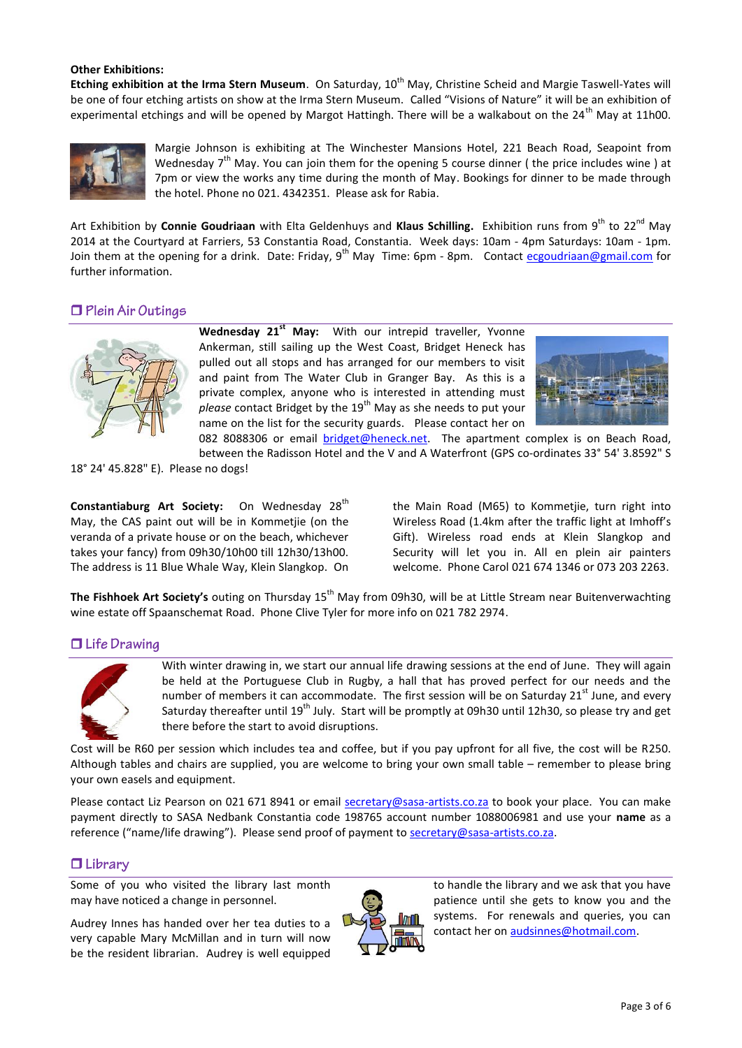#### **Other Exhibitions:**

Etching exhibition at the Irma Stern Museum. On Saturday, 10<sup>th</sup> May, Christine Scheid and Margie Taswell-Yates will be one of four etching artists on show at the Irma Stern Museum. Called "Visions of Nature" it will be an exhibition of experimental etchings and will be opened by Margot Hattingh. There will be a walkabout on the 24<sup>th</sup> May at 11h00.



Margie Johnson is exhibiting at The Winchester Mansions Hotel, 221 Beach Road, Seapoint from Wednesday  $7<sup>th</sup>$  May. You can join them for the opening 5 course dinner (the price includes wine) at 7pm or view the works any time during the month of May. Bookings for dinner to be made through the hotel. Phone no 021. 4342351. Please ask for Rabia.

Art Exhibition by **Connie Goudriaan** with Elta Geldenhuys and **Klaus Schilling.** Exhibition runs from 9<sup>th</sup> to 22<sup>nd</sup> May 2014 at the Courtyard at Farriers, 53 Constantia Road, Constantia. Week days: 10am - 4pm Saturdays: 10am - 1pm. Join them at the opening for a drink. Date: Friday, 9<sup>th</sup> May Time: 6pm - 8pm. Contact [ecgoudriaan@gmail.com](mailto:ecgoudriaan@gmail.com) for further information.

# $\Box$  Plein Air Outings



**Wednesday 21st May:** With our intrepid traveller, Yvonne Ankerman, still sailing up the West Coast, Bridget Heneck has pulled out all stops and has arranged for our members to visit and paint from The Water Club in Granger Bay. As this is a private complex, anyone who is interested in attending must *please* contact Bridget by the 19<sup>th</sup> May as she needs to put your name on the list for the security guards. Please contact her on



082 8088306 or email [bridget@heneck.net.](mailto:bridget@heneck.net) The apartment complex is on Beach Road, between the Radisson Hotel and the V and A Waterfront (GPS co-ordinates 33° 54' 3.8592" S

18° 24' 45.828" E). Please no dogs!

Constantiaburg Art Society: On Wednesday 28<sup>th</sup> May, the CAS paint out will be in Kommetjie (on the veranda of a private house or on the beach, whichever takes your fancy) from 09h30/10h00 till 12h30/13h00. The address is 11 Blue Whale Way, Klein Slangkop. On the Main Road (M65) to Kommetjie, turn right into Wireless Road (1.4km after the traffic light at Imhoff's Gift). Wireless road ends at Klein Slangkop and Security will let you in. All en plein air painters welcome. Phone Carol 021 674 1346 or 073 203 2263.

**The Fishhoek Art Society's** outing on Thursday 15<sup>th</sup> May from 09h30, will be at Little Stream near Buitenverwachting wine estate off Spaanschemat Road. Phone Clive Tyler for more info on 021 782 2974.

## $\Box$  Life Drawing



With winter drawing in, we start our annual life drawing sessions at the end of June. They will again be held at the Portuguese Club in Rugby, a hall that has proved perfect for our needs and the number of members it can accommodate. The first session will be on Saturday  $21<sup>st</sup>$  June, and every Saturday thereafter until 19<sup>th</sup> July. Start will be promptly at 09h30 until 12h30, so please try and get there before the start to avoid disruptions.

Cost will be R60 per session which includes tea and coffee, but if you pay upfront for all five, the cost will be R250. Although tables and chairs are supplied, you are welcome to bring your own small table – remember to please bring your own easels and equipment.

Please contact Liz Pearson on 021 671 8941 or email [secretary@sasa-artists.co.za](mailto:secretary@sasa-artists.co.za) to book your place. You can make payment directly to SASA Nedbank Constantia code 198765 account number 1088006981 and use your **name** as a reference ("name/life drawing"). Please send proof of payment to [secretary@sasa-artists.co.za.](mailto:secretary@sasa-artists.co.za)

## $\Box$  Library

Some of you who visited the library last month may have noticed a change in personnel.

Audrey Innes has handed over her tea duties to a very capable Mary McMillan and in turn will now be the resident librarian. Audrey is well equipped



to handle the library and we ask that you have patience until she gets to know you and the systems. For renewals and queries, you can contact her o[n audsinnes@hotmail.com.](mailto:audsinnes@hotmail.com)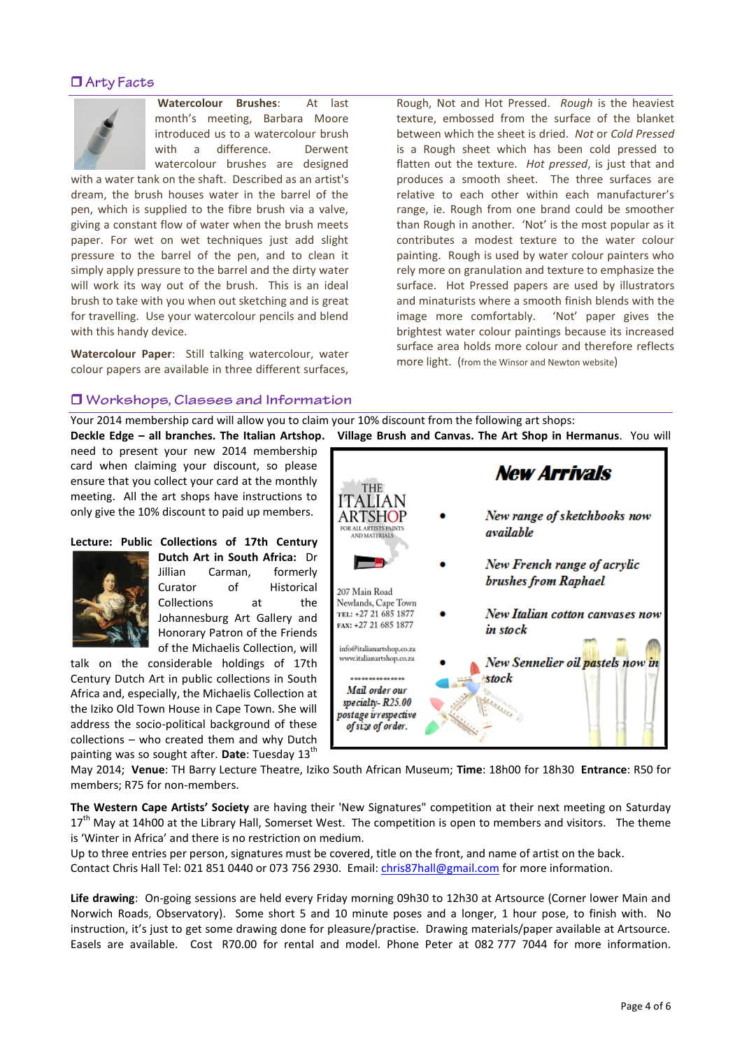# $\Box$  Arty Facts



**Watercolour Brushes**: At last month's meeting, Barbara Moore introduced us to a watercolour brush with a difference. Derwent watercolour brushes are designed

with a water tank on the shaft. Described as an artist's dream, the brush houses water in the barrel of the pen, which is supplied to the fibre brush via a valve, giving a constant flow of water when the brush meets paper. For wet on wet techniques just add slight pressure to the barrel of the pen, and to clean it simply apply pressure to the barrel and the dirty water will work its way out of the brush. This is an ideal brush to take with you when out sketching and is great for travelling. Use your watercolour pencils and blend with this handy device.

**Watercolour Paper**: Still talking watercolour, water colour papers are available in three different surfaces,

Rough, Not and Hot Pressed. *Rough* is the heaviest texture, embossed from the surface of the blanket between which the sheet is dried. *Not* or *Cold Pressed* is a Rough sheet which has been cold pressed to flatten out the texture. *Hot pressed*, is just that and produces a smooth sheet. The three surfaces are relative to each other within each manufacturer's range, ie. Rough from one brand could be smoother than Rough in another. 'Not' is the most popular as it contributes a modest texture to the water colour painting. Rough is used by water colour painters who rely more on granulation and texture to emphasize the surface. Hot Pressed papers are used by illustrators and minaturists where a smooth finish blends with the image more comfortably. 'Not' paper gives the brightest water colour paintings because its increased surface area holds more colour and therefore reflects more light. (from the Winsor and Newton website)

## **J** Workshops, Classes and Information

Your 2014 membership card will allow you to claim your 10% discount from the following art shops:

need to present your new 2014 membership card when claiming your discount, so please ensure that you collect your card at the monthly meeting. All the art shops have instructions to only give the 10% discount to paid up members.

## **Lecture: Public Collections of 17th Century**



**Dutch Art in South Africa:** Dr Jillian Carman, formerly Curator of Historical Collections at the Johannesburg Art Gallery and Honorary Patron of the Friends of the Michaelis Collection, will

talk on the considerable holdings of 17th Century Dutch Art in public collections in South Africa and, especially, the Michaelis Collection at the Iziko Old Town House in Cape Town. She will address the socio-political background of these collections – who created them and why Dutch painting was so sought after. Date: Tuesday 13<sup>th</sup>

**New Arrivals** THE. ITALIAN New range of sketchbooks now ARTSHOF FOR ALL ARTISTS PAINTS available AND MATERIALS New French range of acrylic ö brushes from Raphael 207 Main Road Newlands, Cape Town New Italian cotton canvases now TEL: +27 21 685 1877 FAX: +27 21 685 1877 in stock info@italianartshop.co.za www.italianartshop.co.za New Sennelier oil pastels now in stock . . . . . . . . . . . . . . . . . . Mail order our specialty-R25.00 postage irrespective of size of order.

May 2014; **Venue**: TH Barry Lecture Theatre, Iziko South African Museum; **Time**: 18h00 for 18h30 **Entrance**: R50 for members; R75 for non-members.

**The Western Cape Artists' Society** are having their 'New Signatures" competition at their next meeting on Saturday 17<sup>th</sup> May at 14h00 at the Library Hall, Somerset West. The competition is open to members and visitors. The theme is 'Winter in Africa' and there is no restriction on medium.

Up to three entries per person, signatures must be covered, title on the front, and name of artist on the back. Contact Chris Hall Tel: 021 851 0440 or 073 756 2930. Email: [chris87hall@gmail.com](mailto:chris87hall@gmail.com) for more information.

**Life drawing**: On-going sessions are held every Friday morning 09h30 to 12h30 at Artsource (Corner lower Main and Norwich Roads, Observatory). Some short 5 and 10 minute poses and a longer, 1 hour pose, to finish with. No instruction, it's just to get some drawing done for pleasure/practise. Drawing materials/paper available at Artsource. Easels are available. Cost R70.00 for rental and model. Phone Peter at 082 777 7044 for more information.

**Deckle Edge – all branches. The Italian Artshop. Village Brush and Canvas. The Art Shop in Hermanus**. You will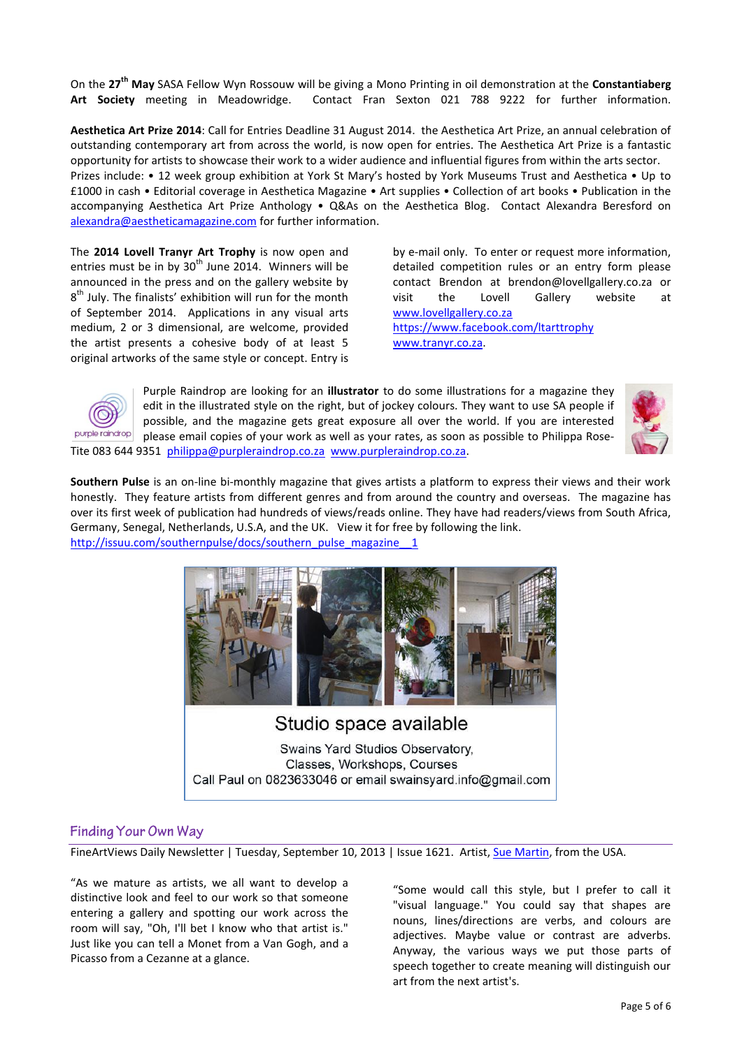On the **27th May** SASA Fellow Wyn Rossouw will be giving a Mono Printing in oil demonstration at the **Constantiaberg Art Society** meeting in Meadowridge. Contact Fran Sexton 021 788 9222 for further information.

**Aesthetica Art Prize 2014**: Call for Entries Deadline 31 August 2014. the Aesthetica Art Prize, an annual celebration of outstanding contemporary art from across the world, is now open for entries. The Aesthetica Art Prize is a fantastic opportunity for artists to showcase their work to a wider audience and influential figures from within the arts sector.

Prizes include: • 12 week group exhibition at York St Mary's hosted by York Museums Trust and Aesthetica • Up to £1000 in cash • Editorial coverage in Aesthetica Magazine • Art supplies • Collection of art books • Publication in the accompanying Aesthetica Art Prize Anthology • Q&As on the Aesthetica Blog. Contact Alexandra Beresford on [alexandra@aestheticamagazine.com](mailto:Alexandra@aestheticamagazine.com) for further information.

The **2014 Lovell Tranyr Art Trophy** is now open and entries must be in by  $30<sup>th</sup>$  June 2014. Winners will be announced in the press and on the gallery website by  $8<sup>th</sup>$  July. The finalists' exhibition will run for the month of September 2014. Applications in any visual arts medium, 2 or 3 dimensional, are welcome, provided the artist presents a cohesive body of at least 5 original artworks of the same style or concept. Entry is

by e-mail only. To enter or request more information, detailed competition rules or an entry form please contact Brendon at brendon@lovellgallery.co.za or visit the Lovell Gallery website at [www.lovellgallery.co.za](http://www.lovellgallery.co.za/) <https://www.facebook.com/ltarttrophy> [www.tranyr.co.za.](http://www.tranyr.co.za/)



Purple Raindrop are looking for an **illustrator** to do some illustrations for a magazine they edit in the illustrated style on the right, but of jockey colours. They want to use SA people if possible, and the magazine gets great exposure all over the world. If you are interested please email copies of your work as well as your rates, as soon as possible to Philippa Rose-Tite 083 644 9351 [philippa@purpleraindrop.co.za](mailto:philippa@purpleraindrop.co.za) [www.purpleraindrop.co.za.](http://www.purpleraindrop.co.za/)



**Southern Pulse** is an on-line bi-monthly magazine that gives artists a platform to express their views and their work honestly. They feature artists from different genres and from around the country and overseas. The magazine has over its first week of publication had hundreds of views/reads online. They have had readers/views from South Africa, Germany, Senegal, Netherlands, U.S.A, and the UK. View it for free by following the link. http://issuu.com/southernpulse/docs/southern\_pulse\_magazine



Studio space available

Swains Yard Studios Observatory. Classes, Workshops, Courses Call Paul on 0823633046 or email swainsyard.info@gmail.com

# Finding Your Own Way

FineArtViews Daily Newsletter | Tuesday, September 10, 2013 | Issue 1621. Artist, [Sue Martin,](http://suemartinfineart.com/) from the USA.

"As we mature as artists, we all want to develop a distinctive look and feel to our work so that someone entering a gallery and spotting our work across the room will say, "Oh, I'll bet I know who that artist is." Just like you can tell a Monet from a Van Gogh, and a Picasso from a Cezanne at a glance.

"Some would call this style, but I prefer to call it "visual language." You could say that shapes are nouns, lines/directions are verbs, and colours are adjectives. Maybe value or contrast are adverbs. Anyway, the various ways we put those parts of speech together to create meaning will distinguish our art from the next artist's.